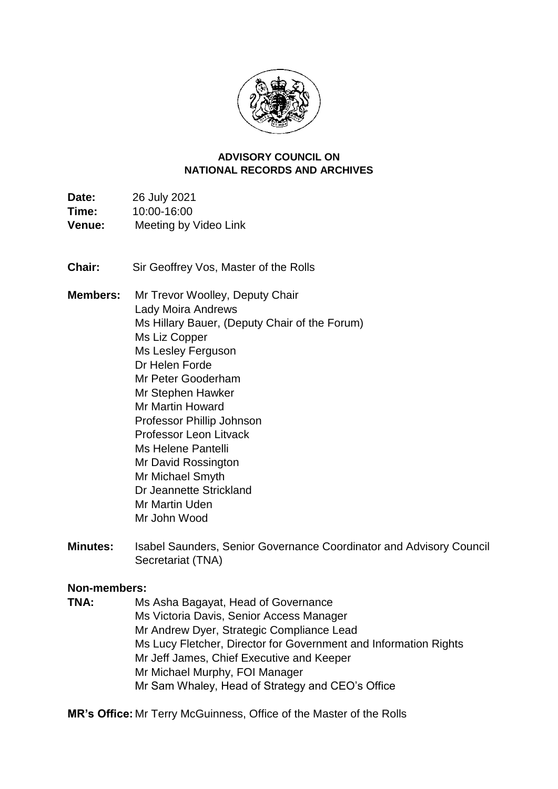

#### **NATIONAL RECORDS AND ARCHIVES ADVISORY COUNCIL ON**

Time: **Date:** 26 July 2021 **Time:** 10:00-16:00 **Venue:** Meeting by Video Link

**Chair:** Sir Geoffrey Vos, Master of the Rolls

**Members:** Mr Trevor Woolley, Deputy Chair Lady Moira Andrews Ms Hillary Bauer, (Deputy Chair of the Forum) Ms Liz Copper Ms Lesley Ferguson Dr Helen Forde Mr Peter Gooderham Mr Stephen Hawker Mr Martin Howard Professor Phillip Johnson Professor Leon Litvack Ms Helene Pantelli Mr David Rossington Mr Michael Smyth Dr Jeannette Strickland Mr Martin Uden Mr John Wood

**Minutes:** Isabel Saunders, Senior Governance Coordinator and Advisory Council Secretariat (TNA)

# **Non-members:**

**TNA:** Ms Asha Bagayat, Head of Governance Ms Victoria Davis, Senior Access Manager Mr Andrew Dyer, Strategic Compliance Lead Ms Lucy Fletcher, Director for Government and Information Rights Mr Jeff James, Chief Executive and Keeper Mr Michael Murphy, FOI Manager Mr Sam Whaley, Head of Strategy and CEO's Office

**MR's Office:** Mr Terry McGuinness, Office of the Master of the Rolls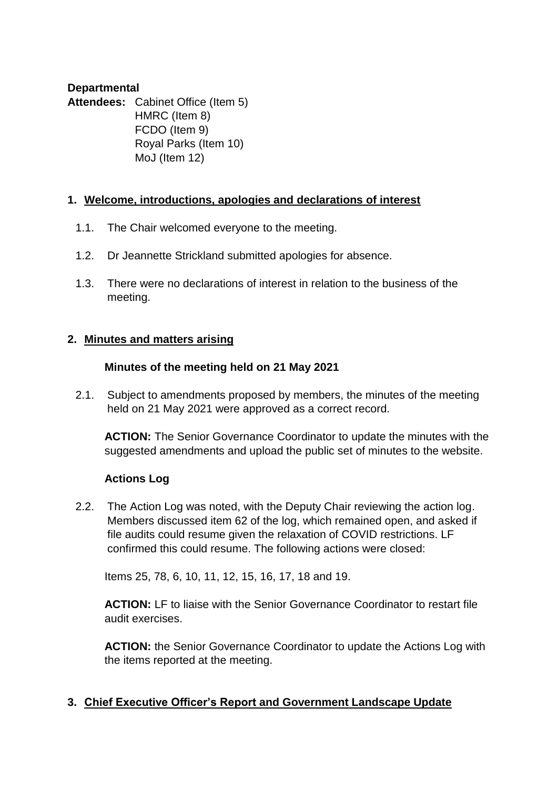#### **Departmental**

Attendees: Cabinet Office (Item 5) HMRC (Item 8) FCDO (Item 9) Royal Parks (Item 10) MoJ (Item 12)

#### **1. Welcome, introductions, apologies and declarations of interest**

- 1.1. The Chair welcomed everyone to the meeting.
- 1.2. Dr Jeannette Strickland submitted apologies for absence.
- 1.3. There were no declarations of interest in relation to the business of the meeting.

#### **2. Minutes and matters arising**

#### **Minutes of the meeting held on 21 May 2021**

2.1. Subject to amendments proposed by members, the minutes of the meeting held on 21 May 2021 were approved as a correct record.

**ACTION:** The Senior Governance Coordinator to update the minutes with the suggested amendments and upload the public set of minutes to the website.

# **Actions Log**

2.2. The Action Log was noted, with the Deputy Chair reviewing the action log. Members discussed item 62 of the log, which remained open, and asked if file audits could resume given the relaxation of COVID restrictions. LF confirmed this could resume. The following actions were closed:

Items 25, 78, 6, 10, 11, 12, 15, 16, 17, 18 and 19.

**ACTION:** LF to liaise with the Senior Governance Coordinator to restart file audit exercises.

 the items reported at the meeting. **ACTION:** the Senior Governance Coordinator to update the Actions Log with

# **3. Chief Executive Officer's Report and Government Landscape Update**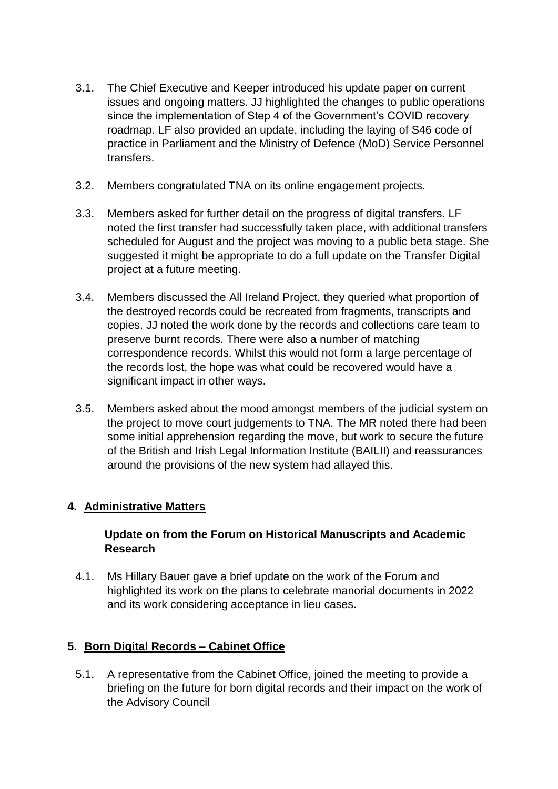- roadmap. LF also provided an update, including the laying of S46 code of practice in Parliament and the Ministry of Defence (MoD) Service Personnel 3.1. The Chief Executive and Keeper introduced his update paper on current issues and ongoing matters. JJ highlighted the changes to public operations since the implementation of Step 4 of the Government's COVID recovery transfers.
- 3.2. Members congratulated TNA on its online engagement projects.
- 3.3. Members asked for further detail on the progress of digital transfers. LF suggested it might be appropriate to do a full update on the Transfer Digital noted the first transfer had successfully taken place, with additional transfers scheduled for August and the project was moving to a public beta stage. She project at a future meeting.
- the destroyed records could be recreated from fragments, transcripts and preserve burnt records. There were also a number of matching the records lost, the hope was what could be recovered would have a 3.4. Members discussed the All Ireland Project, they queried what proportion of copies. JJ noted the work done by the records and collections care team to correspondence records. Whilst this would not form a large percentage of significant impact in other ways.
- 3.5. Members asked about the mood amongst members of the judicial system on the project to move court judgements to TNA. The MR noted there had been of the British and Irish Legal Information Institute (BAILII) and reassurances some initial apprehension regarding the move, but work to secure the future around the provisions of the new system had allayed this.

# **4. Administrative Matters**

# **Update on from the Forum on Historical Manuscripts and Academic Research**

 highlighted its work on the plans to celebrate manorial documents in 2022 4.1. Ms Hillary Bauer gave a brief update on the work of the Forum and and its work considering acceptance in lieu cases.

# **5. Born Digital Records – Cabinet Office**

 5.1. A representative from the Cabinet Office, joined the meeting to provide a briefing on the future for born digital records and their impact on the work of the Advisory Council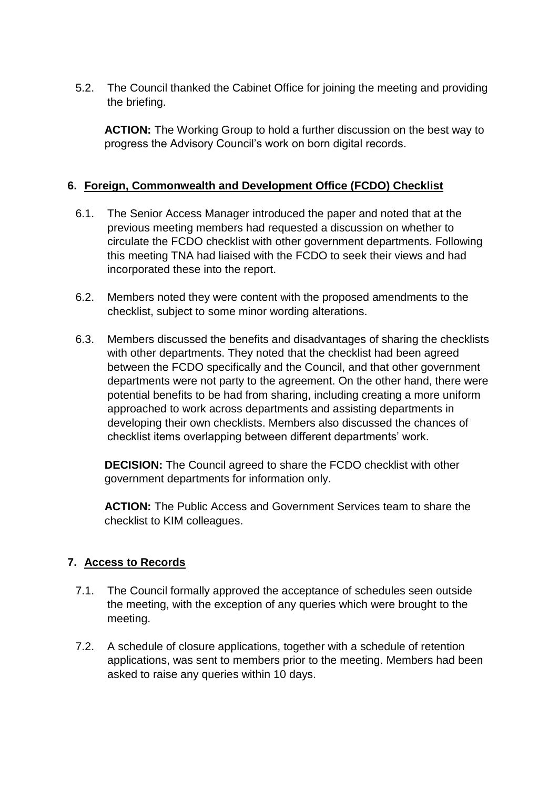5.2. The Council thanked the Cabinet Office for joining the meeting and providing the briefing.

 **ACTION:** The Working Group to hold a further discussion on the best way to progress the Advisory Council's work on born digital records.

# **6. Foreign, Commonwealth and Development Office (FCDO) Checklist**

- 6.1. The Senior Access Manager introduced the paper and noted that at the previous meeting members had requested a discussion on whether to this meeting TNA had liaised with the FCDO to seek their views and had circulate the FCDO checklist with other government departments. Following incorporated these into the report.
- checklist, subject to some minor wording alterations. 6.2. Members noted they were content with the proposed amendments to the
- 6.3. Members discussed the benefits and disadvantages of sharing the checklists with other departments. They noted that the checklist had been agreed between the FCDO specifically and the Council, and that other government departments were not party to the agreement. On the other hand, there were potential benefits to be had from sharing, including creating a more uniform approached to work across departments and assisting departments in developing their own checklists. Members also discussed the chances of checklist items overlapping between different departments' work.

**DECISION:** The Council agreed to share the FCDO checklist with other government departments for information only.

**ACTION:** The Public Access and Government Services team to share the checklist to KIM colleagues.

# **7. Access to Records**

- 7.1. The Council formally approved the acceptance of schedules seen outside the meeting, with the exception of any queries which were brought to the meeting.
- 7.2. A schedule of closure applications, together with a schedule of retention applications, was sent to members prior to the meeting. Members had been asked to raise any queries within 10 days.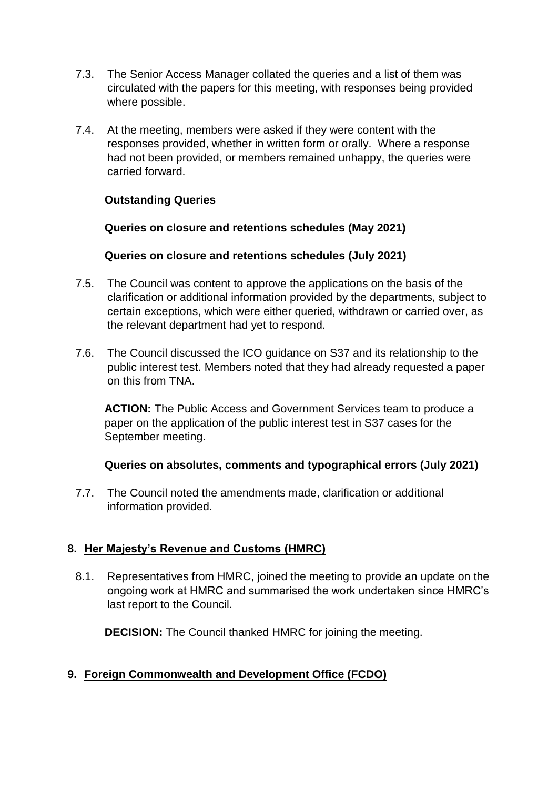- 7.3. The Senior Access Manager collated the queries and a list of them was circulated with the papers for this meeting, with responses being provided where possible.
- had not been provided, or members remained unhappy, the queries were 7.4. At the meeting, members were asked if they were content with the responses provided, whether in written form or orally. Where a response carried forward.

# **Outstanding Queries**

#### **Queries on closure and retentions schedules (May 2021)**

#### **Queries on closure and retentions schedules (July 2021)**

- 7.5. The Council was content to approve the applications on the basis of the clarification or additional information provided by the departments, subject to certain exceptions, which were either queried, withdrawn or carried over, as the relevant department had yet to respond.
- 7.6. The Council discussed the ICO guidance on S37 and its relationship to the public interest test. Members noted that they had already requested a paper on this from TNA.

 **ACTION:** The Public Access and Government Services team to produce a paper on the application of the public interest test in S37 cases for the September meeting.

#### **Queries on absolutes, comments and typographical errors (July 2021)**

7.7. The Council noted the amendments made, clarification or additional information provided.

# **8. Her Majesty's Revenue and Customs (HMRC)**

8.1. Representatives from HMRC, joined the meeting to provide an update on the ongoing work at HMRC and summarised the work undertaken since HMRC's last report to the Council.

**DECISION:** The Council thanked HMRC for joining the meeting.

# **9. Foreign Commonwealth and Development Office (FCDO)**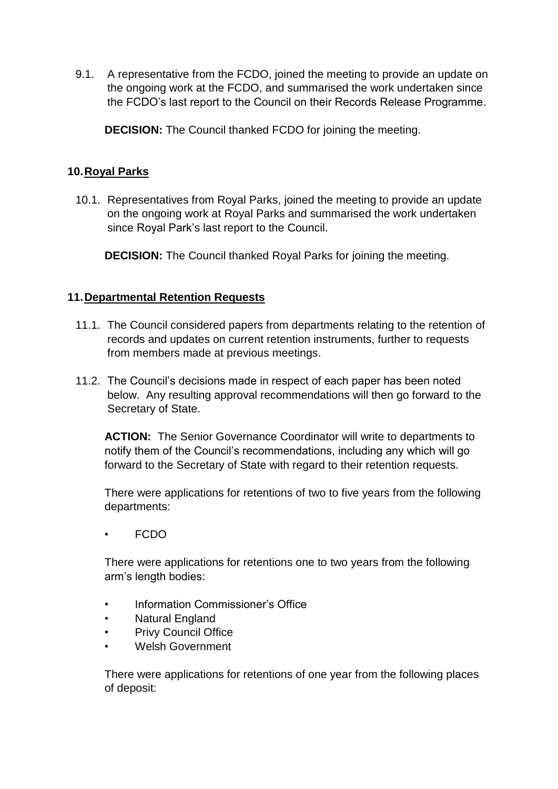9.1. A representative from the FCDO, joined the meeting to provide an update on the ongoing work at the FCDO, and summarised the work undertaken since the FCDO's last report to the Council on their Records Release Programme.

**DECISION:** The Council thanked FCDO for joining the meeting.

# **10.Royal Parks**

10.1. Representatives from Royal Parks, joined the meeting to provide an update on the ongoing work at Royal Parks and summarised the work undertaken since Royal Park's last report to the Council.

**DECISION:** The Council thanked Royal Parks for joining the meeting.

# **11.Departmental Retention Requests**

- 11.1. The Council considered papers from departments relating to the retention of records and updates on current retention instruments, further to requests from members made at previous meetings.
- below. Any resulting approval recommendations will then go forward to the 11.2. The Council's decisions made in respect of each paper has been noted Secretary of State.

 **ACTION:** The Senior Governance Coordinator will write to departments to notify them of the Council's recommendations, including any which will go forward to the Secretary of State with regard to their retention requests.

 There were applications for retentions of two to five years from the following departments:

• FCDO

 There were applications for retentions one to two years from the following arm's length bodies:

- Information Commissioner's Office
- Natural England
- **Privy Council Office**
- Welsh Government

There were applications for retentions of one year from the following places of deposit: